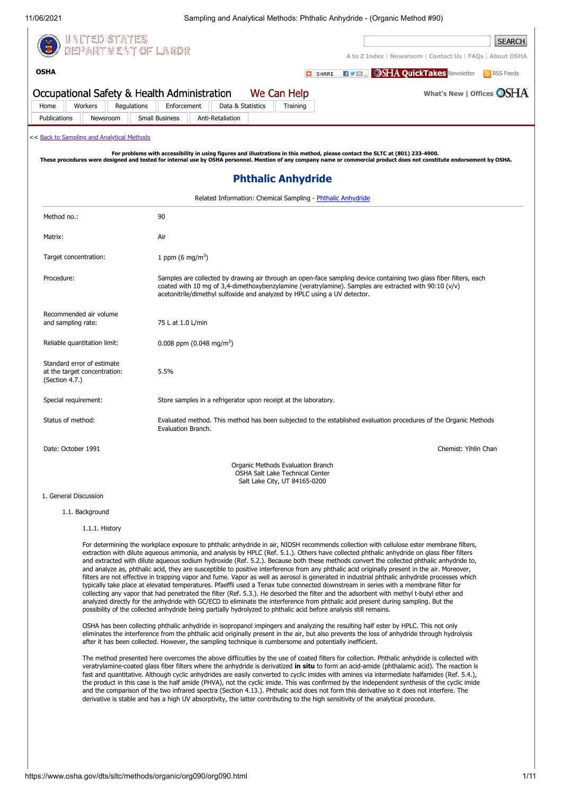**[OSHA](https://www.osha.gov/)**

11/06/2021 Sampling and Analytical Methods: Phthalic Anhydride - (Organic Method #90)



**SEARCH** OEPARTMENT OF LABOR **[A to Z Index](https://www.osha.gov/a-z)** | **[Newsroom](https://www.osha.gov/news)** | **[Contact Us](https://www.osha.gov/contactus)** | **[FAQs](https://www.osha.gov/faq)** | **[About OSHA](https://www.osha.gov/aboutosha) HVEROSHA QuickTakes** [Newsletter](https://www.osha.gov/quicktakes/) **R** [RSS Feeds](https://www.osha.gov/rss/)  $\Box$  SHARE Occupational Safety & Health Administration **[What's New](https://www.osha.gov/whatsnew)** | **[Offices](https://www.osha.gov/contactus/bystate)** We Can Help [Home](https://www.osha.gov/) [Workers](https://www.osha.gov/workers) [Regulations](https://www.osha.gov/laws-regs) [Enforcement](https://www.osha.gov/enforcement) [Data & Statistics](https://www.osha.gov/data) [Training](https://www.osha.gov/training) [Publications](https://www.osha.gov/publications) [Newsroom](https://www.osha.gov/news) [Small Business](https://www.osha.gov/smallbusiness) [Anti-Retaliation](https://www.whistleblowers.gov/) << [Back to Sampling and Analytical Methods](https://www.osha.gov/dts/sltc/methods/index.html) For problems with accessibility in using figures and illustrations in this method, please contact the SLTC at (801) 233-4900.<br>These procedures were designed and tested for internal use by OSHA personnel. Mention of any com **Phthalic Anhydride** Related Information: Chemical Sampling - [Phthalic Anhydride](https://www.osha.gov/dts/chemicalsampling/data/CH_263000.html) Method no. 900

| Matrix:                                                                      | Air                                                                                                                                                                                                                                                                                                      |
|------------------------------------------------------------------------------|----------------------------------------------------------------------------------------------------------------------------------------------------------------------------------------------------------------------------------------------------------------------------------------------------------|
| Target concentration:                                                        | 1 ppm $(6 \text{ mg/m}^3)$                                                                                                                                                                                                                                                                               |
| Procedure:                                                                   | Samples are collected by drawing air through an open-face sampling device containing two glass fiber filters, each<br>coated with 10 mg of 3,4-dimethoxybenzylamine (veratrylamine). Samples are extracted with 90:10 (v/v)<br>acetonitrile/dimethyl sulfoxide and analyzed by HPLC using a UV detector. |
| Recommended air volume<br>and sampling rate:                                 | 75 L at 1.0 L/min                                                                                                                                                                                                                                                                                        |
| Reliable quantitation limit:                                                 | 0.008 ppm $(0.048 \text{ mg/m}^3)$                                                                                                                                                                                                                                                                       |
| Standard error of estimate<br>at the target concentration:<br>(Section 4.7.) | 5.5%                                                                                                                                                                                                                                                                                                     |
| Special requirement:                                                         | Store samples in a refrigerator upon receipt at the laboratory.                                                                                                                                                                                                                                          |
| Status of method:                                                            | Evaluated method. This method has been subjected to the established evaluation procedures of the Organic Methods<br>Evaluation Branch.                                                                                                                                                                   |
| Date: October 1991                                                           | Chemist: Yihlin Chan                                                                                                                                                                                                                                                                                     |
|                                                                              | Organic Methods Evaluation Branch<br>OSHA Salt Lake Technical Center<br>Salt Lake City, UT 84165-0200                                                                                                                                                                                                    |

## 1. General Discussion

## 1.1. Background

### 1.1.1. History

For determining the workplace exposure to phthalic anhydride in air, NIOSH recommends collection with cellulose ester membrane filters, extraction with dilute aqueous ammonia, and analysis by HPLC (Ref. 5.1.). Others have collected phthalic anhydride on glass fiber filters and extracted with dilute aqueous sodium hydroxide (Ref. 5.2.). Because both these methods convert the collected phthalic anhydride to, and analyze as, phthalic acid, they are susceptible to positive interference from any phthalic acid originally present in the air. Moreover, filters are not effective in trapping vapor and fume. Vapor as well as aerosol is generated in industrial phthalic anhydride processes which typically take place at elevated temperatures. Pfaeffli used a Tenax tube connected downstream in series with a membrane filter for collecting any vapor that had penetrated the filter (Ref. 5.3.). He desorbed the filter and the adsorbent with methyl t-butyl ether and analyzed directly for the anhydride with GC/ECD to eliminate the interference from phthalic acid present during sampling. But the possibility of the collected anhydride being partially hydrolyzed to phthalic acid before analysis still remains.

OSHA has been collecting phthalic anhydride in isopropanol impingers and analyzing the resulting half ester by HPLC. This not only eliminates the interference from the phthalic acid originally present in the air, but also prevents the loss of anhydride through hydrolysis after it has been collected. However, the sampling technique is cumbersome and potentially inefficient.

The method presented here overcomes the above difficulties by the use of coated filters for collection. Phthalic anhydride is collected with veratrylamine-coated glass fiber filters where the anhydride is derivatized **in situ** to form an acid-amide (phthalamic acid). The reaction is fast and quantitative. Although cyclic anhydrides are easily converted to cyclic imides with amines via intermediate halfamides (Ref. 5.4.), the product in this case is the half amide (PHVA), not the cyclic imide. This was confirmed by the independent synthesis of the cyclic imide and the comparison of the two infrared spectra (Section 4.13.). Phthalic acid does not form this derivative so it does not interfere. The derivative is stable and has a high UV absorptivity, the latter contributing to the high sensitivity of the analytical procedure.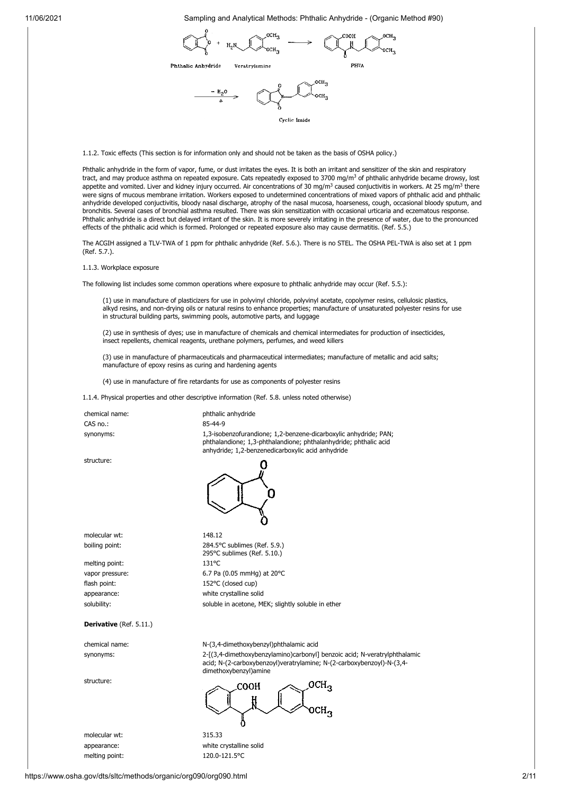$$
\bigotimes_{\text{Ptthalic Anbydride}} \underbrace{r_{H_2}N_{\text{OCH}_3}}_{\text{Peratrylamine}} \longrightarrow \bigotimes_{\text{PPWA}} \underbrace{C^{OOH}_{\text{OCH}_3}}_{\text{PPWA}}
$$



Cyclic Imide

1.1.2. Toxic effects (This section is for information only and should not be taken as the basis of OSHA policy.)

Phthalic anhydride in the form of vapor, fume, or dust irritates the eyes. It is both an irritant and sensitizer of the skin and respiratory tract, and may produce asthma on repeated exposure. Cats repeatedly exposed to 3700 mg/m<sup>3</sup> of phthalic anhydride became drowsy, lost appetite and vomited. Liver and kidney injury occurred. Air concentrations of 30 mg/m<sup>3</sup> caused conjuctivitis in workers. At 25 mg/m<sup>3</sup> there were signs of mucous membrane irritation. Workers exposed to undetermined concentrations of mixed vapors of phthalic acid and phthalic anhydride developed conjuctivitis, bloody nasal discharge, atrophy of the nasal mucosa, hoarseness, cough, occasional bloody sputum, and bronchitis. Several cases of bronchial asthma resulted. There was skin sensitization with occasional urticaria and eczematous response. Phthalic anhydride is a direct but delayed irritant of the skin. It is more severely irritating in the presence of water, due to the pronounced effects of the phthalic acid which is formed. Prolonged or repeated exposure also may cause dermatitis. (Ref. 5.5.)

The ACGIH assigned a TLV-TWA of 1 ppm for phthalic anhydride (Ref. 5.6.). There is no STEL. The OSHA PEL-TWA is also set at 1 ppm (Ref. 5.7.).

1.1.3. Workplace exposure

The following list includes some common operations where exposure to phthalic anhydride may occur (Ref. 5.5.):

(1) use in manufacture of plasticizers for use in polyvinyl chloride, polyvinyl acetate, copolymer resins, cellulosic plastics, alkyd resins, and non-drying oils or natural resins to enhance properties; manufacture of unsaturated polyester resins for use in structural building parts, swimming pools, automotive parts, and luggage

(2) use in synthesis of dyes; use in manufacture of chemicals and chemical intermediates for production of insecticides, insect repellents, chemical reagents, urethane polymers, perfumes, and weed killers

(3) use in manufacture of pharmaceuticals and pharmaceutical intermediates; manufacture of metallic and acid salts; manufacture of epoxy resins as curing and hardening agents

(4) use in manufacture of fire retardants for use as components of polyester resins

1.1.4. Physical properties and other descriptive information (Ref. 5.8. unless noted otherwise)

| chemical name: | phthalic anhydride                                                                                                                                                                        |
|----------------|-------------------------------------------------------------------------------------------------------------------------------------------------------------------------------------------|
| CAS no.:       | 85-44-9                                                                                                                                                                                   |
| synonyms:      | 1.3-isobenzofurandione: 1.2-benzene-dicarboxylic anhydride: PAN:<br>phthalandione; 1,3-phthalandione; phthalanhydride; phthalic acid<br>anhydride; 1,2-benzenedicarboxylic acid anhydride |

structure:



molecular wt: 148.12

melting point: 131°C

boiling point: 284.5°C sublimes (Ref. 5.9.) 295°C sublimes (Ref. 5.10.) vapor pressure: 6.7 Pa (0.05 mmHg) at 20°C flash point: 152°C (closed cup) appearance: white crystalline solid solubility: soluble in acetone, MEK; slightly soluble in ether

## **Derivative** (Ref. 5.11.)

structure:

molecular wt: 315.33

chemical name: N-(3,4-dimethoxybenzyl)phthalamic acid synonyms: 2-[(3,4-dimethoxybenzylamino)carbonyl] benzoic acid; N-veratrylphthalamic acid; N-(2-carboxybenzoyl)veratrylamine; N-(2-carboxybenzoyl)-N-(3,4 dimethoxybenzyl)amine

 $OCH<sub>3</sub>$ соон

appearance: white crystalline solid melting point: 120.0-121.5°C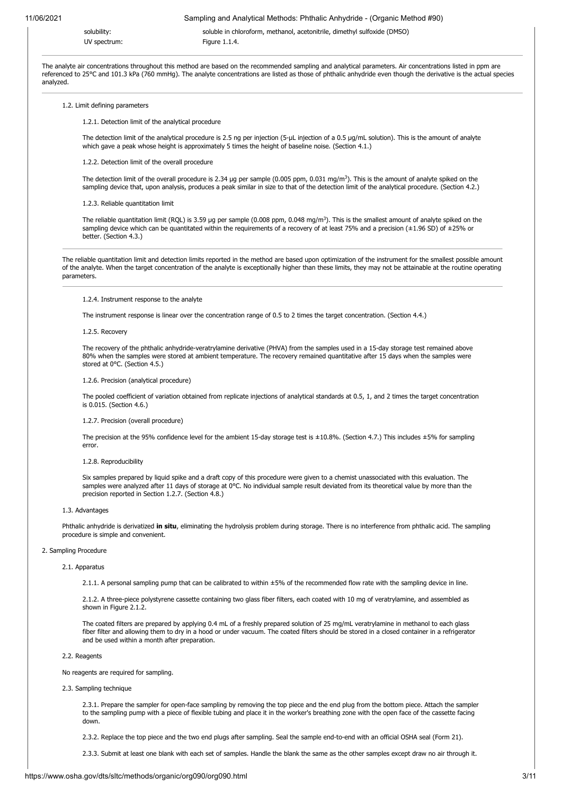solubility: soluble in chloroform, methanol, acetonitrile, dimethyl sulfoxide (DMSO) UV spectrum: Figure 1.1.4.

The analyte air concentrations throughout this method are based on the recommended sampling and analytical parameters. Air concentrations listed in ppm are referenced to 25°C and 101.3 kPa (760 mmHg). The analyte concentrations are listed as those of phthalic anhydride even though the derivative is the actual species analyzed.

#### 1.2. Limit defining parameters

1.2.1. Detection limit of the analytical procedure

The detection limit of the analytical procedure is 2.5 ng per injection (5-µL injection of a 0.5 µg/mL solution). This is the amount of analyte which gave a peak whose height is approximately 5 times the height of baseline noise. (Section 4.1.)

1.2.2. Detection limit of the overall procedure

The detection limit of the overall procedure is 2.34 µg per sample (0.005 ppm, 0.031 mg/m<sup>3</sup>). This is the amount of analyte spiked on the sampling device that, upon analysis, produces a peak similar in size to that of the detection limit of the analytical procedure. (Section 4.2.)

#### 1.2.3. Reliable quantitation limit

The reliable quantitation limit (RQL) is 3.59 µg per sample (0.008 ppm, 0.048 mg/m<sup>3</sup>). This is the smallest amount of analyte spiked on the sampling device which can be quantitated within the requirements of a recovery of at least 75% and a precision ( $\pm$ 1.96 SD) of  $\pm$ 25% or better. (Section 4.3.)

The reliable quantitation limit and detection limits reported in the method are based upon optimization of the instrument for the smallest possible amount of the analyte. When the target concentration of the analyte is exceptionally higher than these limits, they may not be attainable at the routine operating parameters.

#### 1.2.4. Instrument response to the analyte

The instrument response is linear over the concentration range of 0.5 to 2 times the target concentration. (Section 4.4.)

#### 1.2.5. Recovery

The recovery of the phthalic anhydride-veratrylamine derivative (PHVA) from the samples used in a 15-day storage test remained above 80% when the samples were stored at ambient temperature. The recovery remained quantitative after 15 days when the samples were stored at 0°C. (Section 4.5.)

#### 1.2.6. Precision (analytical procedure)

The pooled coefficient of variation obtained from replicate injections of analytical standards at 0.5, 1, and 2 times the target concentration is 0.015. (Section 4.6.)

#### 1.2.7. Precision (overall procedure)

The precision at the 95% confidence level for the ambient 15-day storage test is ±10.8%. (Section 4.7.) This includes ±5% for sampling error.

## 1.2.8. Reproducibility

Six samples prepared by liquid spike and a draft copy of this procedure were given to a chemist unassociated with this evaluation. The samples were analyzed after 11 days of storage at 0°C. No individual sample result deviated from its theoretical value by more than the precision reported in Section 1.2.7. (Section 4.8.)

#### 1.3. Advantages

Phthalic anhydride is derivatized **in situ**, eliminating the hydrolysis problem during storage. There is no interference from phthalic acid. The sampling procedure is simple and convenient.

## 2. Sampling Procedure

#### 2.1. Apparatus

2.1.1. A personal sampling pump that can be calibrated to within ±5% of the recommended flow rate with the sampling device in line.

2.1.2. A three-piece polystyrene cassette containing two glass fiber filters, each coated with 10 mg of veratrylamine, and assembled as shown in Figure 2.1.2.

The coated filters are prepared by applying 0.4 mL of a freshly prepared solution of 25 mg/mL veratrylamine in methanol to each glass fiber filter and allowing them to dry in a hood or under vacuum. The coated filters should be stored in a closed container in a refrigerator and be used within a month after preparation.

### 2.2. Reagents

No reagents are required for sampling.

2.3. Sampling technique

2.3.1. Prepare the sampler for open-face sampling by removing the top piece and the end plug from the bottom piece. Attach the sampler to the sampling pump with a piece of flexible tubing and place it in the worker's breathing zone with the open face of the cassette facing down.

2.3.2. Replace the top piece and the two end plugs after sampling. Seal the sample end-to-end with an official OSHA seal (Form 21).

2.3.3. Submit at least one blank with each set of samples. Handle the blank the same as the other samples except draw no air through it.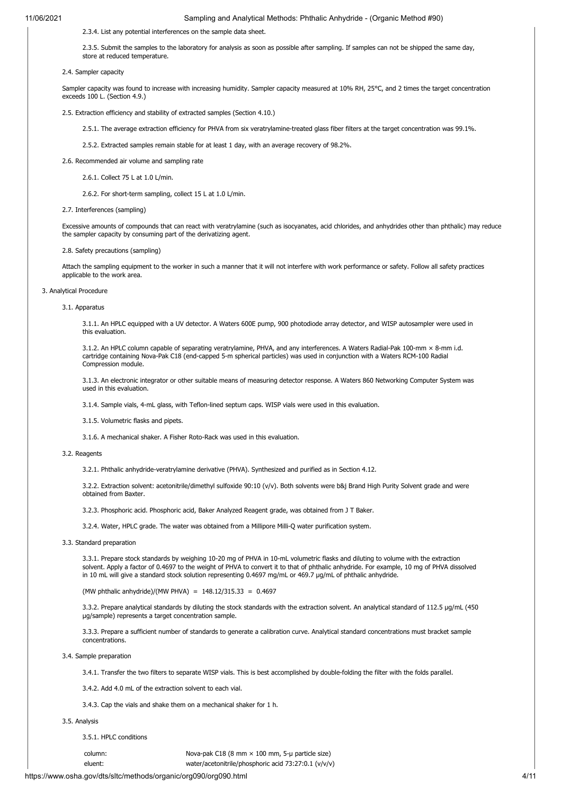2.3.4. List any potential interferences on the sample data sheet.

2.3.5. Submit the samples to the laboratory for analysis as soon as possible after sampling. If samples can not be shipped the same day, store at reduced temperature.

2.4. Sampler capacity

Sampler capacity was found to increase with increasing humidity. Sampler capacity measured at 10% RH, 25°C, and 2 times the target concentration exceeds 100 L. (Section 4.9.)

2.5. Extraction efficiency and stability of extracted samples (Section 4.10.)

2.5.1. The average extraction efficiency for PHVA from six veratrylamine-treated glass fiber filters at the target concentration was 99.1%.

2.5.2. Extracted samples remain stable for at least 1 day, with an average recovery of 98.2%.

- 2.6. Recommended air volume and sampling rate
	- 2.6.1. Collect 75 L at 1.0 L/min.

2.6.2. For short-term sampling, collect 15 L at 1.0 L/min.

### 2.7. Interferences (sampling)

Excessive amounts of compounds that can react with veratrylamine (such as isocyanates, acid chlorides, and anhydrides other than phthalic) may reduce the sampler capacity by consuming part of the derivatizing agent.

#### 2.8. Safety precautions (sampling)

Attach the sampling equipment to the worker in such a manner that it will not interfere with work performance or safety. Follow all safety practices applicable to the work area.

#### 3. Analytical Procedure

3.1. Apparatus

3.1.1. An HPLC equipped with a UV detector. A Waters 600E pump, 900 photodiode array detector, and WISP autosampler were used in this evaluation.

3.1.2. An HPLC column capable of separating veratrylamine, PHVA, and any interferences. A Waters Radial-Pak 100-mm × 8-mm i.d. cartridge containing Nova-Pak C18 (end-capped 5-m spherical particles) was used in conjunction with a Waters RCM-100 Radial Compression module.

3.1.3. An electronic integrator or other suitable means of measuring detector response. A Waters 860 Networking Computer System was used in this evaluation.

3.1.4. Sample vials, 4-mL glass, with Teflon-lined septum caps. WISP vials were used in this evaluation.

3.1.5. Volumetric flasks and pipets.

3.1.6. A mechanical shaker. A Fisher Roto-Rack was used in this evaluation.

## 3.2. Reagents

3.2.1. Phthalic anhydride-veratrylamine derivative (PHVA). Synthesized and purified as in Section 4.12.

3.2.2. Extraction solvent: acetonitrile/dimethyl sulfoxide 90:10 (v/v). Both solvents were b&j Brand High Purity Solvent grade and were obtained from Baxter.

3.2.3. Phosphoric acid. Phosphoric acid, Baker Analyzed Reagent grade, was obtained from J T Baker.

3.2.4. Water, HPLC grade. The water was obtained from a Millipore Milli-Q water purification system.

3.3. Standard preparation

3.3.1. Prepare stock standards by weighing 10-20 mg of PHVA in 10-mL volumetric flasks and diluting to volume with the extraction solvent. Apply a factor of 0.4697 to the weight of PHVA to convert it to that of phthalic anhydride. For example, 10 mg of PHVA dissolved in 10 mL will give a standard stock solution representing 0.4697 mg/mL or 469.7 µg/mL of phthalic anhydride.

(MW phthalic anhydride)/(MW PHVA) =  $148.12/315.33$  = 0.4697

3.3.2. Prepare analytical standards by diluting the stock standards with the extraction solvent. An analytical standard of 112.5 µg/mL (450) µg/sample) represents a target concentration sample.

3.3.3. Prepare a sufficient number of standards to generate a calibration curve. Analytical standard concentrations must bracket sample concentrations.

3.4. Sample preparation

3.4.1. Transfer the two filters to separate WISP vials. This is best accomplished by double-folding the filter with the folds parallel.

3.4.2. Add 4.0 mL of the extraction solvent to each vial.

3.4.3. Cap the vials and shake them on a mechanical shaker for 1 h.

### 3.5. Analysis

3.5.1. HPLC conditions

column: Nova-pak C18 (8 mm × 100 mm, 5-µ particle size) eluent: water/acetonitrile/phosphoric acid 73:27:0.1 (v/v/v)

https://www.osha.gov/dts/sltc/methods/organic/org090/org090.html 4/11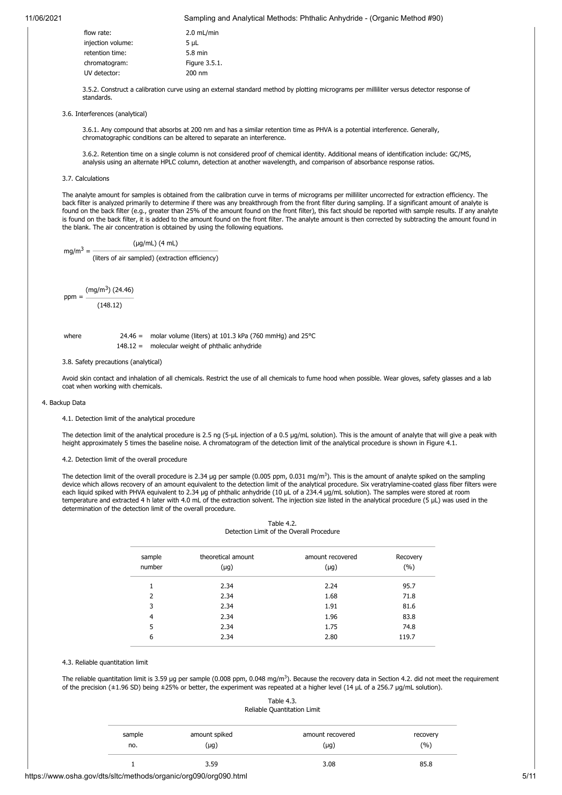| flow rate:        | $2.0$ mL/min  |
|-------------------|---------------|
| injection volume: | $5 \mu L$     |
| retention time:   | 5.8 min       |
| chromatogram:     | Figure 3.5.1. |
| UV detector:      | 200 nm        |
|                   |               |

3.5.2. Construct a calibration curve using an external standard method by plotting micrograms per milliliter versus detector response of standards.

3.6. Interferences (analytical)

3.6.1. Any compound that absorbs at 200 nm and has a similar retention time as PHVA is a potential interference. Generally, chromatographic conditions can be altered to separate an interference.

3.6.2. Retention time on a single column is not considered proof of chemical identity. Additional means of identification include: GC/MS, analysis using an alternate HPLC column, detection at another wavelength, and comparison of absorbance response ratios.

### 3.7. Calculations

The analyte amount for samples is obtained from the calibration curve in terms of micrograms per milliliter uncorrected for extraction efficiency. The back filter is analyzed primarily to determine if there was any breakthrough from the front filter during sampling. If a significant amount of analyte is found on the back filter (e.g., greater than 25% of the amount found on the front filter), this fact should be reported with sample results. If any analyte is found on the back filter, it is added to the amount found on the front filter. The analyte amount is then corrected by subtracting the amount found in the blank. The air concentration is obtained by using the following equations.

$$
(\mu g/mL) (4 mL)
$$

 $mg/m<sup>3</sup> =$ (liters of air sampled) (extraction efficiency)

ppm = (mg/m<sup>3</sup>) (24.46)

(148.12)

where 24.46 = molar volume (liters) at 101.3 kPa (760 mmHg) and  $25^{\circ}$ C 148.12 = molecular weight of phthalic anhydride

3.8. Safety precautions (analytical)

Avoid skin contact and inhalation of all chemicals. Restrict the use of all chemicals to fume hood when possible. Wear gloves, safety glasses and a lab coat when working with chemicals.

#### 4. Backup Data

4.1. Detection limit of the analytical procedure

The detection limit of the analytical procedure is 2.5 ng (5-µL injection of a 0.5 µg/mL solution). This is the amount of analyte that will give a peak with height approximately 5 times the baseline noise. A chromatogram of the detection limit of the analytical procedure is shown in Figure 4.1.

4.2. Detection limit of the overall procedure

The detection limit of the overall procedure is 2.34 µg per sample (0.005 ppm, 0.031 mg/m<sup>3</sup>). This is the amount of analyte spiked on the sampling device which allows recovery of an amount equivalent to the detection limit of the analytical procedure. Six veratrylamine-coated glass fiber filters were each liquid spiked with PHVA equivalent to 2.34 µg of phthalic anhydride (10 µL of a 234.4 µg/mL solution). The samples were stored at room temperature and extracted 4 h later with 4.0 mL of the extraction solvent. The injection size listed in the analytical procedure (5 µL) was used in the determination of the detection limit of the overall procedure.

| Table 4.2.                               |  |
|------------------------------------------|--|
| Detection Limit of the Overall Procedure |  |

| sample<br>number | theoretical amount<br>$(\mu g)$ | amount recovered<br>$(\mu g)$ | Recovery<br>(%) |
|------------------|---------------------------------|-------------------------------|-----------------|
|                  | 2.34                            | 2.24                          | 95.7            |
| 2                | 2.34                            | 1.68                          | 71.8            |
| 3                | 2.34                            | 1.91                          | 81.6            |
| 4                | 2.34                            | 1.96                          | 83.8            |
| 5                | 2.34                            | 1.75                          | 74.8            |
| 6                | 2.34                            | 2.80                          | 119.7           |

## 4.3. Reliable quantitation limit

The reliable quantitation limit is 3.59 µg per sample (0.008 ppm, 0.048 mg/m<sup>3</sup>). Because the recovery data in Section 4.2. did not meet the requirement of the precision ( $\pm$ 1.96 SD) being  $\pm$ 25% or better, the experiment was repeated at a higher level (14 µL of a 256.7 µg/mL solution).

| Table 4.3.                  |
|-----------------------------|
| Reliable Quantitation Limit |

| sample | amount spiked | amount recovered | recovery |
|--------|---------------|------------------|----------|
| no.    | $(\mu g)$     | $(\mu g)$        | (%)      |
|        | 3.59          | 3.08             |          |

https://www.osha.gov/dts/sltc/methods/organic/org090/org090.html 5/11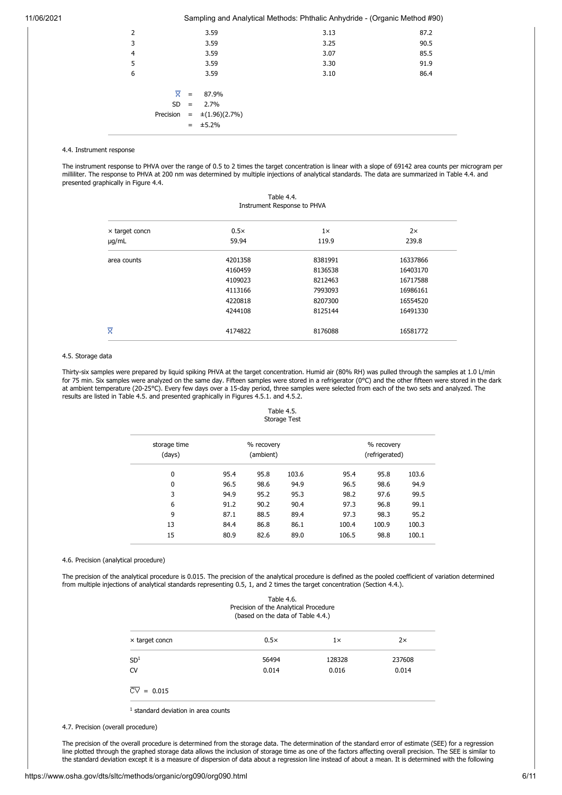| $\overline{2}$ |   |     | 3.59                            | 3.13 | 87.2 |
|----------------|---|-----|---------------------------------|------|------|
| 3              |   |     | 3.59                            | 3.25 | 90.5 |
| $\overline{4}$ |   |     | 3.59                            | 3.07 | 85.5 |
| 5              |   |     | 3.59                            | 3.30 | 91.9 |
| 6              |   |     | 3.59                            | 3.10 | 86.4 |
|                |   |     |                                 |      |      |
|                | ≅ | $=$ | 87.9%                           |      |      |
|                |   |     | $SD = 2.7\%$                    |      |      |
|                |   |     | Precision = $\pm (1.96)(2.7\%)$ |      |      |
|                |   |     | $= 15.2\%$                      |      |      |
|                |   |     |                                 |      |      |

## 4.4. Instrument response

The instrument response to PHVA over the range of 0.5 to 2 times the target concentration is linear with a slope of 69142 area counts per microgram per milliliter. The response to PHVA at 200 nm was determined by multiple injections of analytical standards. The data are summarized in Table 4.4. and presented graphically in Figure 4.4.

| Table 4.4.<br>Instrument Response to PHVA |             |           |           |  |
|-------------------------------------------|-------------|-----------|-----------|--|
| $\times$ target concn                     | $0.5\times$ | $1\times$ | $2\times$ |  |
| µg/mL                                     | 59.94       | 119.9     | 239.8     |  |
| area counts                               | 4201358     | 8381991   | 16337866  |  |
|                                           | 4160459     | 8136538   | 16403170  |  |
|                                           | 4109023     | 8212463   | 16717588  |  |
|                                           | 4113166     | 7993093   | 16986161  |  |
|                                           | 4220818     | 8207300   | 16554520  |  |
|                                           | 4244108     | 8125144   | 16491330  |  |
| X                                         | 4174822     | 8176088   | 16581772  |  |

## 4.5. Storage data

Thirty-six samples were prepared by liquid spiking PHVA at the target concentration. Humid air (80% RH) was pulled through the samples at 1.0 L/min for 75 min. Six samples were analyzed on the same day. Fifteen samples were stored in a refrigerator (0°C) and the other fifteen were stored in the dark at ambient temperature (20-25°C). Every few days over a 15-day period, three samples were selected from each of the two sets and analyzed. The results are listed in Table 4.5. and presented graphically in Figures 4.5.1. and 4.5.2.

## Table 4.5. Storage Test

| storage time<br>(days) | % recovery<br>(ambient) |      |       |       | % recovery<br>(refrigerated) |       |
|------------------------|-------------------------|------|-------|-------|------------------------------|-------|
| $\mathbf 0$            | 95.4                    | 95.8 | 103.6 | 95.4  | 95.8                         | 103.6 |
| $\mathbf 0$            | 96.5                    | 98.6 | 94.9  | 96.5  | 98.6                         | 94.9  |
| 3                      | 94.9                    | 95.2 | 95.3  | 98.2  | 97.6                         | 99.5  |
| 6                      | 91.2                    | 90.2 | 90.4  | 97.3  | 96.8                         | 99.1  |
| 9                      | 87.1                    | 88.5 | 89.4  | 97.3  | 98.3                         | 95.2  |
| 13                     | 84.4                    | 86.8 | 86.1  | 100.4 | 100.9                        | 100.3 |
| 15                     | 80.9                    | 82.6 | 89.0  | 106.5 | 98.8                         | 100.1 |
|                        |                         |      |       |       |                              |       |

## 4.6. Precision (analytical procedure)

The precision of the analytical procedure is 0.015. The precision of the analytical procedure is defined as the pooled coefficient of variation determined from multiple injections of analytical standards representing 0.5, 1, and 2 times the target concentration (Section 4.4.).

|                                | Table 4.6.<br>Precision of the Analytical Procedure<br>(based on the data of Table 4.4.) |           |        |
|--------------------------------|------------------------------------------------------------------------------------------|-----------|--------|
| x target concn                 | $0.5\times$                                                                              | $1\times$ | 2x     |
| SD <sup>1</sup>                | 56494                                                                                    | 128328    | 237608 |
| CV                             | 0.014                                                                                    | 0.016     | 0.014  |
| $\overline{\text{CV}} = 0.015$ |                                                                                          |           |        |

<sup>1</sup> standard deviation in area counts

4.7. Precision (overall procedure)

The precision of the overall procedure is determined from the storage data. The determination of the standard error of estimate (SEE) for a regression line plotted through the graphed storage data allows the inclusion of storage time as one of the factors affecting overall precision. The SEE is similar to the standard deviation except it is a measure of dispersion of data about a regression line instead of about a mean. It is determined with the following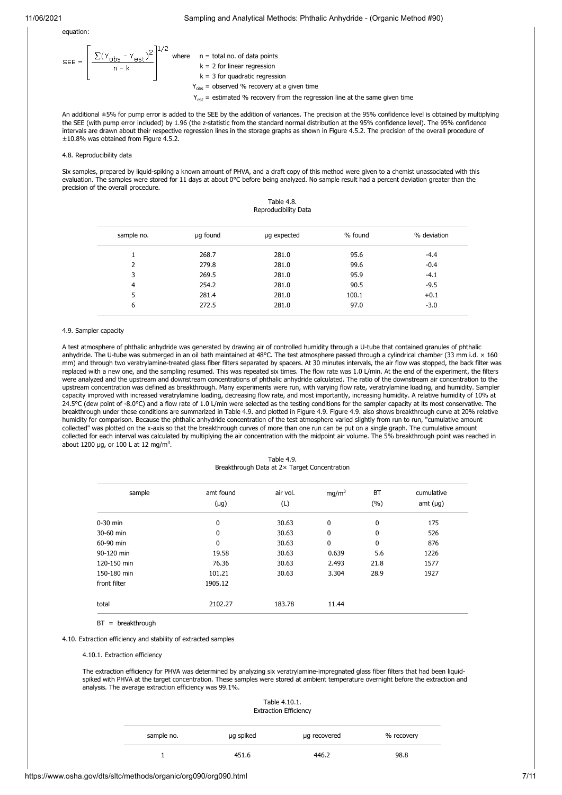equation:

$$
SEE = \left[\frac{\sum (Y_{obs} - Y_{est})^2}{n - k}\right]^{1/2}
$$
 where  $n = \text{total no. of data points}$   
\n $k = 2$  for linear regression  
\n $k = 3$  for quadratic regression  
\n $Y_{obs} = \text{observed } \% \text{ recovery at a given time}$   
\n $Y = \text{estimated } \% \text{ recovery from the regression line at the same given}$ 

 $Y_{\text{est}}$  = estimated % recovery from the regression line at the same given time

An additional ±5% for pump error is added to the SEE by the addition of variances. The precision at the 95% confidence level is obtained by multiplying the SEE (with pump error included) by 1.96 (the z-statistic from the standard normal distribution at the 95% confidence level). The 95% confidence intervals are drawn about their respective regression lines in the storage graphs as shown in Figure 4.5.2. The precision of the overall procedure of ±10.8% was obtained from Figure 4.5.2.

# 4.8. Reproducibility data

Six samples, prepared by liquid-spiking a known amount of PHVA, and a draft copy of this method were given to a chemist unassociated with this evaluation. The samples were stored for 11 days at about 0°C before being analyzed. No sample result had a percent deviation greater than the precision of the overall procedure.

| Table 4.8.           |
|----------------------|
| Reproducibility Data |

| sample no.     | µg found | µg expected | % found | % deviation |
|----------------|----------|-------------|---------|-------------|
|                | 268.7    | 281.0       | 95.6    | $-4.4$      |
| 2              | 279.8    | 281.0       | 99.6    | $-0.4$      |
| 3              | 269.5    | 281.0       | 95.9    | $-4.1$      |
| $\overline{4}$ | 254.2    | 281.0       | 90.5    | $-9.5$      |
| 5              | 281.4    | 281.0       | 100.1   | $+0.1$      |
| 6              | 272.5    | 281.0       | 97.0    | $-3.0$      |

#### 4.9. Sampler capacity

A test atmosphere of phthalic anhydride was generated by drawing air of controlled humidity through a U-tube that contained granules of phthalic anhydride. The U-tube was submerged in an oil bath maintained at 48°C. The test atmosphere passed through a cylindrical chamber (33 mm i.d. × 160 mm) and through two veratrylamine-treated glass fiber filters separated by spacers. At 30 minutes intervals, the air flow was stopped, the back filter was replaced with a new one, and the sampling resumed. This was repeated six times. The flow rate was 1.0 L/min. At the end of the experiment, the filters were analyzed and the upstream and downstream concentrations of phthalic anhydride calculated. The ratio of the downstream air concentration to the upstream concentration was defined as breakthrough. Many experiments were run, with varying flow rate, veratrylamine loading, and humidity. Sampler capacity improved with increased veratrylamine loading, decreasing flow rate, and most importantly, increasing humidity. A relative humidity of 10% at 24.5°C (dew point of -8.0°C) and a flow rate of 1.0 L/min were selected as the testing conditions for the sampler capacity at its most conservative. The breakthrough under these conditions are summarized in Table 4.9. and plotted in Figure 4.9. Figure 4.9. also shows breakthrough curve at 20% relative humidity for comparison. Because the phthalic anhydride concentration of the test atmosphere varied slightly from run to run, "cumulative amount collected" was plotted on the x-axis so that the breakthrough curves of more than one run can be put on a single graph. The cumulative amount collected for each interval was calculated by multiplying the air concentration with the midpoint air volume. The 5% breakthrough point was reached in about 1200  $\mu$ g, or 100 L at 12 mg/m<sup>3</sup>.

Table 4.9. Breakthrough Data at 2× Target Concentration

| sample       | amt found | air vol. | mg/m <sup>3</sup> | BT   | cumulative    |
|--------------|-----------|----------|-------------------|------|---------------|
|              | $(\mu g)$ | (L)      |                   | (%)  | amt $(\mu g)$ |
| $0-30$ min   | 0         | 30.63    | 0                 | 0    | 175           |
| 30-60 min    | 0         | 30.63    | 0                 | 0    | 526           |
| 60-90 min    | 0         | 30.63    | 0                 | 0    | 876           |
| 90-120 min   | 19.58     | 30.63    | 0.639             | 5.6  | 1226          |
| 120-150 min  | 76.36     | 30.63    | 2.493             | 21.8 | 1577          |
| 150-180 min  | 101.21    | 30.63    | 3.304             | 28.9 | 1927          |
| front filter | 1905.12   |          |                   |      |               |
| total        | 2102.27   | 183.78   | 11.44             |      |               |

BT = breakthrough

4.10. Extraction efficiency and stability of extracted samples

4.10.1. Extraction efficiency

The extraction efficiency for PHVA was determined by analyzing six veratrylamine-impregnated glass fiber filters that had been liquidspiked with PHVA at the target concentration. These samples were stored at ambient temperature overnight before the extraction and analysis. The average extraction efficiency was 99.1%.

| Table 4.10.1.                |
|------------------------------|
| <b>Extraction Efficiency</b> |

| sample no. | µg spiked | µg recovered | % recovery |
|------------|-----------|--------------|------------|
|            | 451.6     | 446.2        | 98.8       |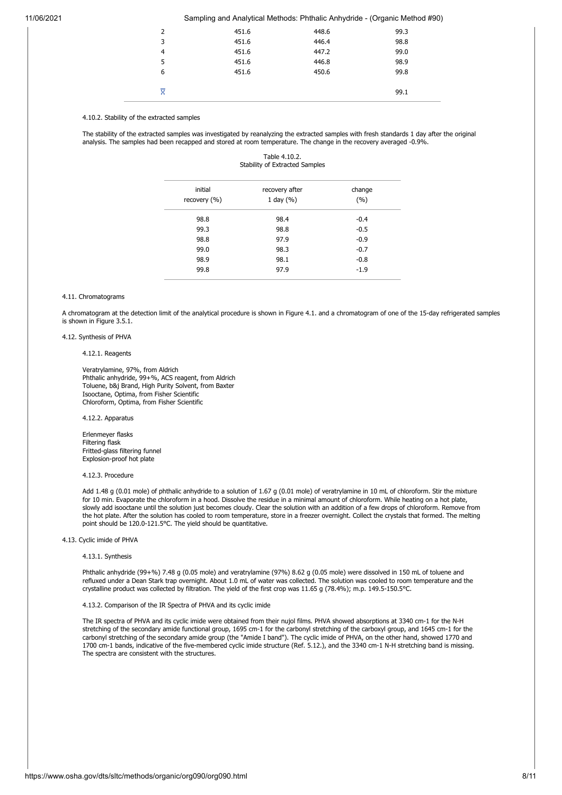| ≅ |       |       | 99.1 |
|---|-------|-------|------|
| 6 | 451.6 | 450.6 | 99.8 |
| 5 | 451.6 | 446.8 | 98.9 |
| 4 | 451.6 | 447.2 | 99.0 |
| 3 | 451.6 | 446.4 | 98.8 |
| 2 | 451.6 | 448.6 | 99.3 |
|   |       |       |      |

## 4.10.2. Stability of the extracted samples

The stability of the extracted samples was investigated by reanalyzing the extracted samples with fresh standards 1 day after the original analysis. The samples had been recapped and stored at room temperature. The change in the recovery averaged -0.9%.

| Table 4.10.2.                         |  |  |  |
|---------------------------------------|--|--|--|
| <b>Stability of Extracted Samples</b> |  |  |  |

| initial<br>recovery (%) | recovery after<br>1 day $(\% )$ | change<br>(%) |
|-------------------------|---------------------------------|---------------|
| 98.8                    | 98.4                            | $-0.4$        |
| 99.3                    | 98.8                            | $-0.5$        |
| 98.8                    | 97.9                            | $-0.9$        |
| 99.0                    | 98.3                            | $-0.7$        |
| 98.9                    | 98.1                            | $-0.8$        |
| 99.8                    | 97.9                            | $-1.9$        |
|                         |                                 |               |

## 4.11. Chromatograms

A chromatogram at the detection limit of the analytical procedure is shown in Figure 4.1. and a chromatogram of one of the 15-day refrigerated samples is shown in Figure 3.5.1.

## 4.12. Synthesis of PHVA

#### 4.12.1. Reagents

Veratrylamine, 97%, from Aldrich Phthalic anhydride, 99+%, ACS reagent, from Aldrich Toluene, b&j Brand, High Purity Solvent, from Baxter Isooctane, Optima, from Fisher Scientific Chloroform, Optima, from Fisher Scientific

## 4.12.2. Apparatus

Erlenmeyer flasks Filtering flask Fritted-glass filtering funnel Explosion-proof hot plate

## 4.12.3. Procedure

Add 1.48 g (0.01 mole) of phthalic anhydride to a solution of 1.67 g (0.01 mole) of veratrylamine in 10 mL of chloroform. Stir the mixture for 10 min. Evaporate the chloroform in a hood. Dissolve the residue in a minimal amount of chloroform. While heating on a hot plate, slowly add isooctane until the solution just becomes cloudy. Clear the solution with an addition of a few drops of chloroform. Remove from the hot plate. After the solution has cooled to room temperature, store in a freezer overnight. Collect the crystals that formed. The melting point should be 120.0-121.5°C. The yield should be quantitative.

4.13. Cyclic imide of PHVA

#### 4.13.1. Synthesis

Phthalic anhydride (99+%) 7.48 g (0.05 mole) and veratrylamine (97%) 8.62 g (0.05 mole) were dissolved in 150 mL of toluene and refluxed under a Dean Stark trap overnight. About 1.0 mL of water was collected. The solution was cooled to room temperature and the crystalline product was collected by filtration. The yield of the first crop was 11.65 g (78.4%); m.p. 149.5-150.5°C.

## 4.13.2. Comparison of the IR Spectra of PHVA and its cyclic imide

The IR spectra of PHVA and its cyclic imide were obtained from their nujol films. PHVA showed absorptions at 3340 cm-1 for the N-H stretching of the secondary amide functional group, 1695 cm-1 for the carbonyl stretching of the carboxyl group, and 1645 cm-1 for the carbonyl stretching of the secondary amide group (the "Amide I band"). The cyclic imide of PHVA, on the other hand, showed 1770 and 1700 cm-1 bands, indicative of the five-membered cyclic imide structure (Ref. 5.12.), and the 3340 cm-1 N-H stretching band is missing. The spectra are consistent with the structures.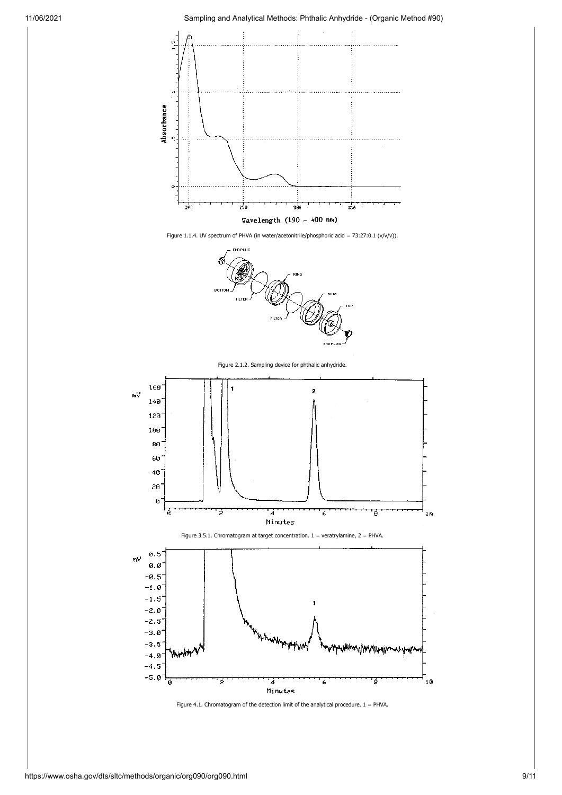









Figure 4.1. Chromatogram of the detection limit of the analytical procedure.  $1 = PHVA$ .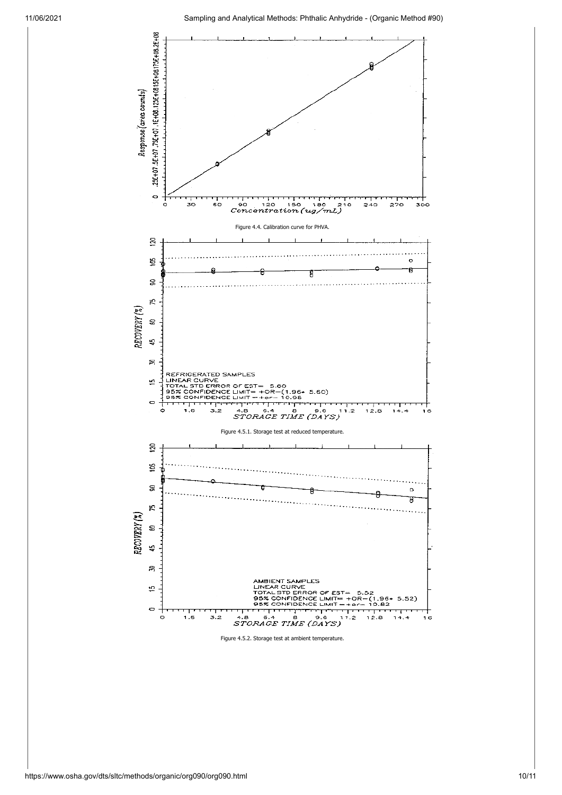

Figure 4.5.2. Storage test at ambient temperature.